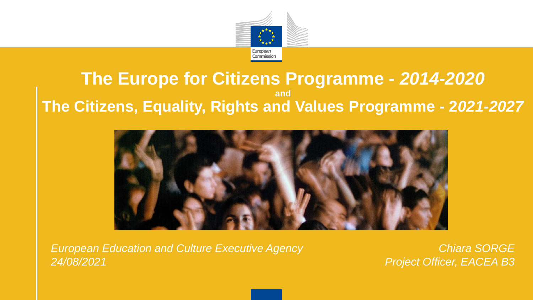

#### **The Europe for Citizens Programme -** *2014-2020* **and The Citizens, Equality, Rights and Values Programme - 2***021-2027*



*European Education and Culture Executive Agency 24/08/2021*

*Chiara SORGE Project Officer, EACEA B3*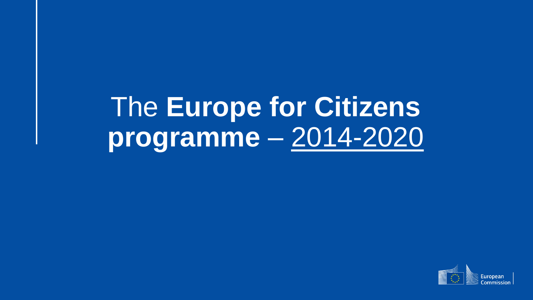## The **Europe for Citizens programme** – 2014-2020

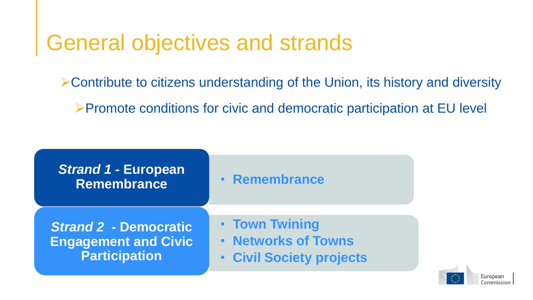#### General objectives and strands

Contribute to citizens understanding of the Union, its history and diversity

Promote conditions for civic and democratic participation at EU level

| <b>Strand 1 - European</b><br><b>Remembrance</b> | • Remembrance                   |
|--------------------------------------------------|---------------------------------|
| <b>Strand 2 - Democratic</b>                     | • Town Twining                  |
| <b>Engagement and Civic</b>                      | <b>• Networks of Towns</b>      |
| <b>Participation</b>                             | <b>• Civil Society projects</b> |

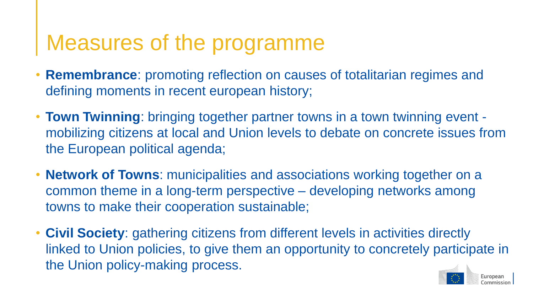#### Measures of the programme

- **Remembrance**: promoting reflection on causes of totalitarian regimes and defining moments in recent european history;
- **Town Twinning**: bringing together partner towns in a town twinning event mobilizing citizens at local and Union levels to debate on concrete issues from the European political agenda;
- **Network of Towns**: municipalities and associations working together on a common theme in a long-term perspective – developing networks among towns to make their cooperation sustainable;
- **Civil Society**: gathering citizens from different levels in activities directly linked to Union policies, to give them an opportunity to concretely participate in the Union policy-making process.

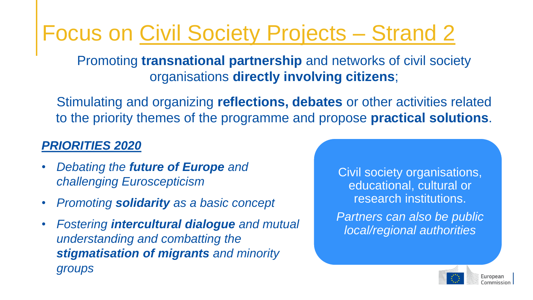### Focus on Civil Society Projects – Strand 2

Promoting **transnational partnership** and networks of civil society organisations **directly involving citizens**;

Stimulating and organizing **reflections, debates** or other activities related to the priority themes of the programme and propose **practical solutions**.

#### *PRIORITIES 2020*

- *Debating the future of Europe and challenging Euroscepticism*
- *Promoting solidarity as a basic concept*
- *Fostering intercultural dialogue and mutual understanding and combatting the stigmatisation of migrants and minority groups*

Civil society organisations, educational, cultural or research institutions.

*Partners can also be public local/regional authorities* 

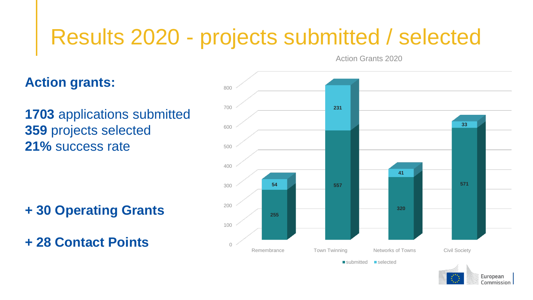#### Results 2020 - projects submitted / selected

Action Grants 2020

#### **Action grants:**

 applications submitted projects selected **21%** success rate

**+ 30 Operating Grants** 

**+ 28 Contact Points** <sup>0</sup>



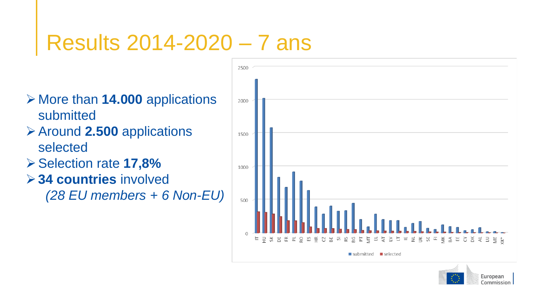#### Results 2014-2020 – 7 ans

- **≻ More than 14.000 applications** submitted
- **≻ Around 2.500 applications** selected
- Selection rate **17,8%**
- **34 countries** involved

*(28 EU members + 6 Non-EU)*



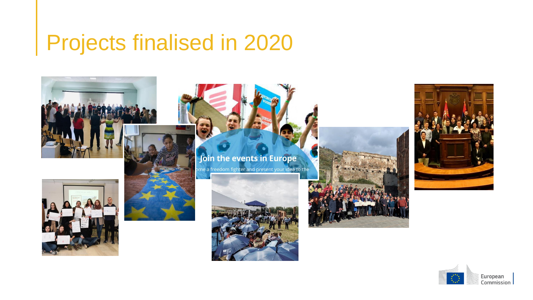#### Projects finalised in 2020













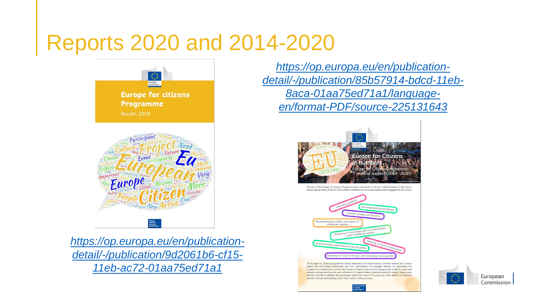#### Reports 2020 and 2014-2020



*https://op.europa.eu/en/publication[detail/-/publication/9d2061b6-cf15-](https://op.europa.eu/en/publication-detail/-/publication/9d2061b6-cf15-11eb-ac72-01aa75ed71a1) 11eb-ac72-01aa75ed71a1*

*https://op.europa.eu/en/publication[detail/-/publication/85b57914-bdcd-11eb-](https://op.europa.eu/en/publication-detail/-/publication/85b57914-bdcd-11eb-8aca-01aa75ed71a1/language-en/format-PDF/source-225131643)8aca-01aa75ed71a1/languageen/format-PDF/source-225131643*



The aim of the Europe of Citizens Programme is to contribute to citizens' understanding of the history values and diversity of the EU and to foster conditions for civic participation and engagement at EU level



The Europe for Citizens programme raised awareness on remembrance, common history and Union's values and encouraged democratic and civic participation of European citizens. By addressing the programme multiannual priorities, the projects fostered intercultural dialogue and solidarity, promoted cultural heritage and diversity and reflected on European history, drawing lessons for today. Citizens were directly involved in debates and exchanges about the future of Europe and other themes of common interest, actively participating in the Union policy making process

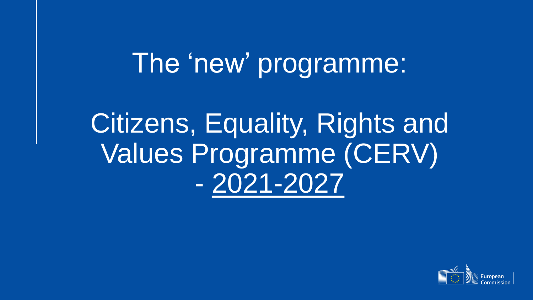## The 'new' programme:

## Citizens, Equality, Rights and Values Programme (CERV) - 2021-2027

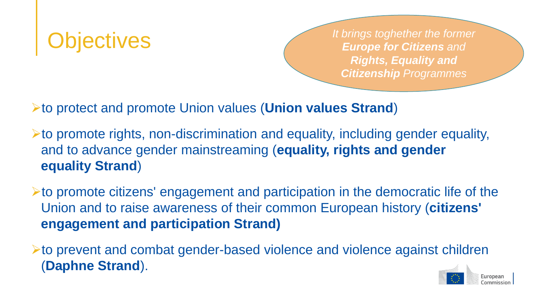**Objectives** *It brings toghether the former It brings toghether the former Europe for Citizens and Europe for Citizens and Rights, Equality and Citizenship Programmes*

to protect and promote Union values (**Union values Strand**)

 $\triangleright$  to promote rights, non-discrimination and equality, including gender equality, and to advance gender mainstreaming (**equality, rights and gender equality Strand**)

to promote citizens' engagement and participation in the democratic life of the Union and to raise awareness of their common European history (**citizens' engagement and participation Strand)**

to prevent and combat gender-based violence and violence against children (**Daphne Strand**).

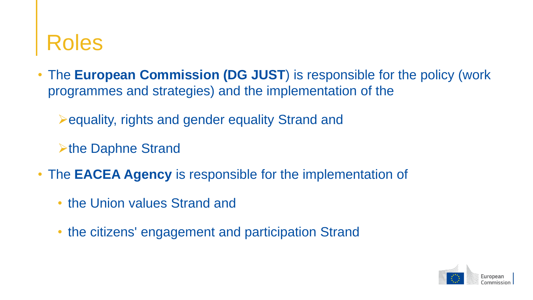#### Roles

• The **European Commission (DG JUST**) is responsible for the policy (work programmes and strategies) and the implementation of the

**Example 2 Fequality, rights and gender equality Strand and** 

 $\triangleright$  the Daphne Strand

- The **EACEA Agency** is responsible for the implementation of
	- the Union values Strand and
	- the citizens' engagement and participation Strand

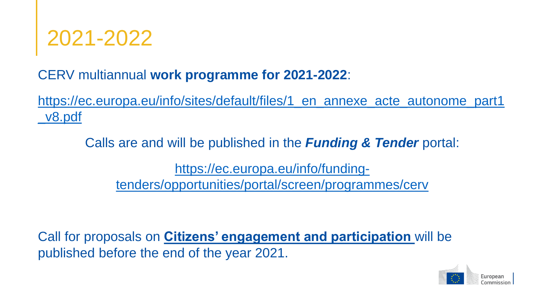

CERV multiannual **work programme for 2021-2022**:

[https://ec.europa.eu/info/sites/default/files/1\\_en\\_annexe\\_acte\\_autonome\\_part1](https://ec.europa.eu/info/sites/default/files/1_en_annexe_acte_autonome_part1_v8.pdf) \_v8.pdf

Calls are and will be published in the *Funding & Tender* portal:

https://ec.europa.eu/info/funding[tenders/opportunities/portal/screen/programmes/cerv](https://ec.europa.eu/info/funding-tenders/opportunities/portal/screen/programmes/cerv)

Call for proposals on **Citizens' engagement and participation** will be published before the end of the year 2021.